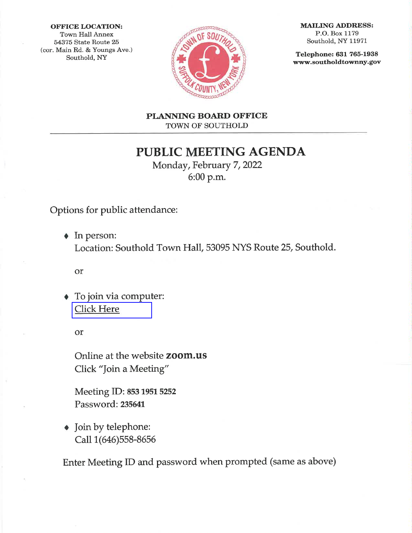#### **OFFICE LOCATION:**

**Town Hall Annex** 54375 State Route 25 (cor. Main Rd. & Youngs Ave.) Southold, NY



**MAILING ADDRESS:** P.O. Box 1179 Southold, NY 11971

Telephone: 631 765-1938 www.southoldtownny.gov

PLANNING BOARD OFFICE TOWN OF SOUTHOLD

**PUBLIC MEETING AGENDA** 

Monday, February 7, 2022 6:00 p.m.

Options for public attendance:

 $\triangle$  In person: Location: Southold Town Hall, 53095 NYS Route 25, Southold.

or

To join via computer: **Click Here** 

or

Online at the website zoom.us Click "Join a Meeting"

Meeting ID: 853 1951 5252 Password: 235641

• Join by telephone: Call 1(646)558-8656

Enter Meeting ID and password when prompted (same as above)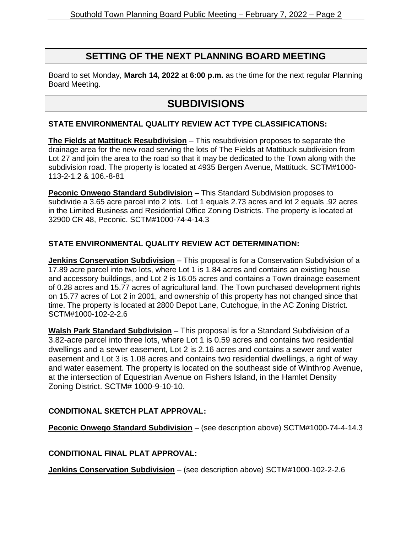### **SETTING OF THE NEXT PLANNING BOARD MEETING**

Board to set Monday, **March 14, 2022** at **6:00 p.m.** as the time for the next regular Planning Board Meeting.

## **SUBDIVISIONS**

#### **STATE ENVIRONMENTAL QUALITY REVIEW ACT TYPE CLASSIFICATIONS:**

**The Fields at Mattituck Resubdivision** – This resubdivision proposes to separate the drainage area for the new road serving the lots of The Fields at Mattituck subdivision from Lot 27 and join the area to the road so that it may be dedicated to the Town along with the subdivision road. The property is located at 4935 Bergen Avenue, Mattituck. SCTM#1000- 113-2-1.2 & 106.-8-81

**Peconic Onwego Standard Subdivision** – This Standard Subdivision proposes to subdivide a 3.65 acre parcel into 2 lots. Lot 1 equals 2.73 acres and lot 2 equals .92 acres in the Limited Business and Residential Office Zoning Districts. The property is located at 32900 CR 48, Peconic. SCTM#1000-74-4-14.3

### **STATE ENVIRONMENTAL QUALITY REVIEW ACT DETERMINATION:**

**Jenkins Conservation Subdivision** – This proposal is for a Conservation Subdivision of a 17.89 acre parcel into two lots, where Lot 1 is 1.84 acres and contains an existing house and accessory buildings, and Lot 2 is 16.05 acres and contains a Town drainage easement of 0.28 acres and 15.77 acres of agricultural land. The Town purchased development rights on 15.77 acres of Lot 2 in 2001, and ownership of this property has not changed since that time. The property is located at 2800 Depot Lane, Cutchogue, in the AC Zoning District. SCTM#1000-102-2-2.6

**Walsh Park Standard Subdivision** – This proposal is for a Standard Subdivision of a 3.82-acre parcel into three lots, where Lot 1 is 0.59 acres and contains two residential dwellings and a sewer easement, Lot 2 is 2.16 acres and contains a sewer and water easement and Lot 3 is 1.08 acres and contains two residential dwellings, a right of way and water easement. The property is located on the southeast side of Winthrop Avenue, at the intersection of Equestrian Avenue on Fishers Island, in the Hamlet Density Zoning District. SCTM# 1000-9-10-10.

#### **CONDITIONAL SKETCH PLAT APPROVAL:**

**Peconic Onwego Standard Subdivision** – (see description above) SCTM#1000-74-4-14.3

#### **CONDITIONAL FINAL PLAT APPROVAL:**

**Jenkins Conservation Subdivision** – (see description above) SCTM#1000-102-2-2.6